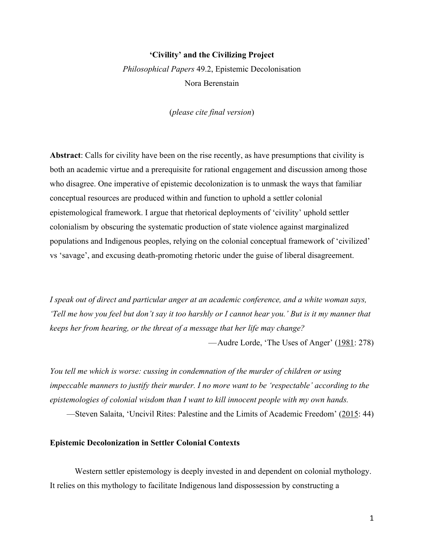# **'Civility' and the Civilizing Project** *Philosophical Papers* 49.2, Epistemic Decolonisation Nora Berenstain

(*please cite final version*)

**Abstract**: Calls for civility have been on the rise recently, as have presumptions that civility is both an academic virtue and a prerequisite for rational engagement and discussion among those who disagree. One imperative of epistemic decolonization is to unmask the ways that familiar conceptual resources are produced within and function to uphold a settler colonial epistemological framework. I argue that rhetorical deployments of 'civility' uphold settler colonialism by obscuring the systematic production of state violence against marginalized populations and Indigenous peoples, relying on the colonial conceptual framework of 'civilized' vs 'savage', and excusing death-promoting rhetoric under the guise of liberal disagreement.

*I speak out of direct and particular anger at an academic conference, and a white woman says, 'Tell me how you feel but don't say it too harshly or I cannot hear you.' But is it my manner that keeps her from hearing, or the threat of a message that her life may change?* — Audre Lorde, 'The Uses of Anger' (1981: 278)

*You tell me which is worse: cussing in condemnation of the murder of children or using impeccable manners to justify their murder. I no more want to be 'respectable' according to the epistemologies of colonial wisdom than I want to kill innocent people with my own hands.* —Steven Salaita, 'Uncivil Rites: Palestine and the Limits of Academic Freedom' (2015: 44)

#### **Epistemic Decolonization in Settler Colonial Contexts**

Western settler epistemology is deeply invested in and dependent on colonial mythology. It relies on this mythology to facilitate Indigenous land dispossession by constructing a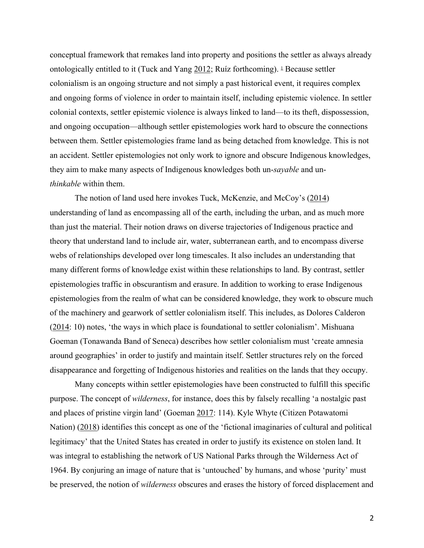conceptual framework that remakes land into property and positions the settler as always already ontologically entitled to it (Tuck and Yang 2012; Ruíz forthcoming).  $\frac{1}{2}$  Because settler colonialism is an ongoing structure and not simply a past historical event, it requires complex and ongoing forms of violence in order to maintain itself, including epistemic violence. In settler colonial contexts, settler epistemic violence is always linked to land—to its theft, dispossession, and ongoing occupation—although settler epistemologies work hard to obscure the connections between them. Settler epistemologies frame land as being detached from knowledge. This is not an accident. Settler epistemologies not only work to ignore and obscure Indigenous knowledges, they aim to make many aspects of Indigenous knowledges both un-*sayable* and un*thinkable* within them.

The notion of land used here invokes Tuck, McKenzie, and McCoy's (2014) understanding of land as encompassing all of the earth, including the urban, and as much more than just the material. Their notion draws on diverse trajectories of Indigenous practice and theory that understand land to include air, water, subterranean earth, and to encompass diverse webs of relationships developed over long timescales. It also includes an understanding that many different forms of knowledge exist within these relationships to land. By contrast, settler epistemologies traffic in obscurantism and erasure. In addition to working to erase Indigenous epistemologies from the realm of what can be considered knowledge, they work to obscure much of the machinery and gearwork of settler colonialism itself. This includes, as Dolores Calderon (2014: 10) notes, 'the ways in which place is foundational to settler colonialism'. Mishuana Goeman (Tonawanda Band of Seneca) describes how settler colonialism must 'create amnesia around geographies' in order to justify and maintain itself. Settler structures rely on the forced disappearance and forgetting of Indigenous histories and realities on the lands that they occupy.

Many concepts within settler epistemologies have been constructed to fulfill this specific purpose. The concept of *wilderness*, for instance, does this by falsely recalling 'a nostalgic past and places of pristine virgin land' (Goeman 2017: 114). Kyle Whyte (Citizen Potawatomi Nation) (2018) identifies this concept as one of the 'fictional imaginaries of cultural and political legitimacy' that the United States has created in order to justify its existence on stolen land. It was integral to establishing the network of US National Parks through the Wilderness Act of 1964. By conjuring an image of nature that is 'untouched' by humans, and whose 'purity' must be preserved, the notion of *wilderness* obscures and erases the history of forced displacement and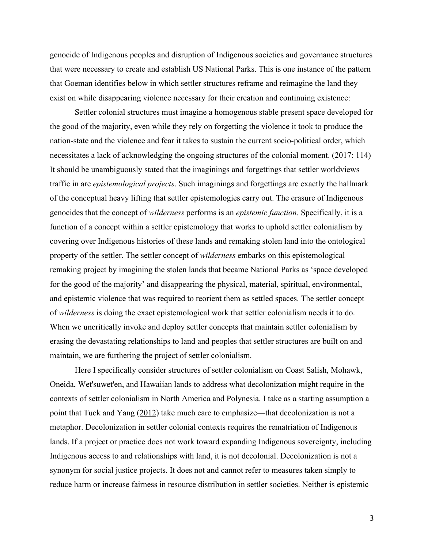genocide of Indigenous peoples and disruption of Indigenous societies and governance structures that were necessary to create and establish US National Parks. This is one instance of the pattern that Goeman identifies below in which settler structures reframe and reimagine the land they exist on while disappearing violence necessary for their creation and continuing existence:

Settler colonial structures must imagine a homogenous stable present space developed for the good of the majority, even while they rely on forgetting the violence it took to produce the nation-state and the violence and fear it takes to sustain the current socio-political order, which necessitates a lack of acknowledging the ongoing structures of the colonial moment. (2017: 114) It should be unambiguously stated that the imaginings and forgettings that settler worldviews traffic in are *epistemological projects*. Such imaginings and forgettings are exactly the hallmark of the conceptual heavy lifting that settler epistemologies carry out. The erasure of Indigenous genocides that the concept of *wilderness* performs is an *epistemic function.* Specifically, it is a function of a concept within a settler epistemology that works to uphold settler colonialism by covering over Indigenous histories of these lands and remaking stolen land into the ontological property of the settler. The settler concept of *wilderness* embarks on this epistemological remaking project by imagining the stolen lands that became National Parks as 'space developed for the good of the majority' and disappearing the physical, material, spiritual, environmental, and epistemic violence that was required to reorient them as settled spaces. The settler concept of *wilderness* is doing the exact epistemological work that settler colonialism needs it to do. When we uncritically invoke and deploy settler concepts that maintain settler colonialism by erasing the devastating relationships to land and peoples that settler structures are built on and maintain, we are furthering the project of settler colonialism.

Here I specifically consider structures of settler colonialism on Coast Salish, Mohawk, Oneida, Wet'suwet'en, and Hawaiian lands to address what decolonization might require in the contexts of settler colonialism in North America and Polynesia. I take as a starting assumption a point that Tuck and Yang (2012) take much care to emphasize—that decolonization is not a metaphor. Decolonization in settler colonial contexts requires the rematriation of Indigenous lands. If a project or practice does not work toward expanding Indigenous sovereignty, including Indigenous access to and relationships with land, it is not decolonial. Decolonization is not a synonym for social justice projects. It does not and cannot refer to measures taken simply to reduce harm or increase fairness in resource distribution in settler societies. Neither is epistemic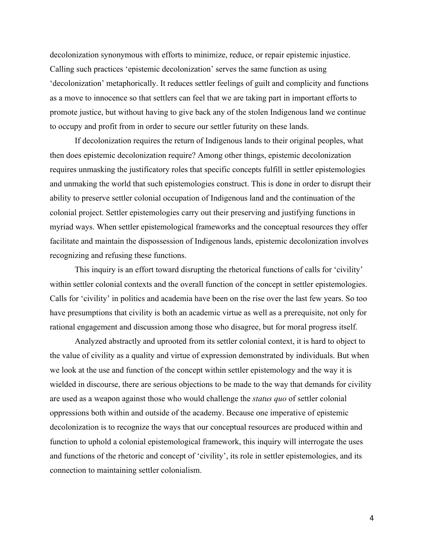decolonization synonymous with efforts to minimize, reduce, or repair epistemic injustice. Calling such practices 'epistemic decolonization' serves the same function as using 'decolonization' metaphorically. It reduces settler feelings of guilt and complicity and functions as a move to innocence so that settlers can feel that we are taking part in important efforts to promote justice, but without having to give back any of the stolen Indigenous land we continue to occupy and profit from in order to secure our settler futurity on these lands.

If decolonization requires the return of Indigenous lands to their original peoples, what then does epistemic decolonization require? Among other things, epistemic decolonization requires unmasking the justificatory roles that specific concepts fulfill in settler epistemologies and unmaking the world that such epistemologies construct. This is done in order to disrupt their ability to preserve settler colonial occupation of Indigenous land and the continuation of the colonial project. Settler epistemologies carry out their preserving and justifying functions in myriad ways. When settler epistemological frameworks and the conceptual resources they offer facilitate and maintain the dispossession of Indigenous lands, epistemic decolonization involves recognizing and refusing these functions.

This inquiry is an effort toward disrupting the rhetorical functions of calls for 'civility' within settler colonial contexts and the overall function of the concept in settler epistemologies. Calls for 'civility' in politics and academia have been on the rise over the last few years. So too have presumptions that civility is both an academic virtue as well as a prerequisite, not only for rational engagement and discussion among those who disagree, but for moral progress itself.

Analyzed abstractly and uprooted from its settler colonial context, it is hard to object to the value of civility as a quality and virtue of expression demonstrated by individuals. But when we look at the use and function of the concept within settler epistemology and the way it is wielded in discourse, there are serious objections to be made to the way that demands for civility are used as a weapon against those who would challenge the *status quo* of settler colonial oppressions both within and outside of the academy. Because one imperative of epistemic decolonization is to recognize the ways that our conceptual resources are produced within and function to uphold a colonial epistemological framework, this inquiry will interrogate the uses and functions of the rhetoric and concept of 'civility', its role in settler epistemologies, and its connection to maintaining settler colonialism.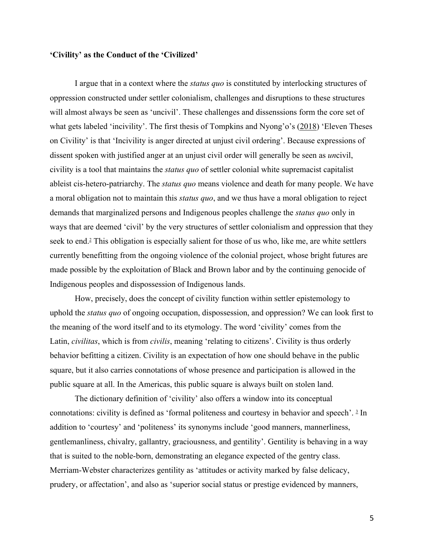#### **'Civility' as the Conduct of the 'Civilized'**

I argue that in a context where the *status quo* is constituted by interlocking structures of oppression constructed under settler colonialism, challenges and disruptions to these structures will almost always be seen as 'uncivil'. These challenges and dissenssions form the core set of what gets labeled 'incivility'. The first thesis of Tompkins and Nyong'o's (2018) 'Eleven Theses on Civility' is that 'Incivility is anger directed at unjust civil ordering'. Because expressions of dissent spoken with justified anger at an unjust civil order will generally be seen as *un*civil, civility is a tool that maintains the *status quo* of settler colonial white supremacist capitalist ableist cis-hetero-patriarchy. The *status quo* means violence and death for many people. We have a moral obligation not to maintain this *status quo*, and we thus have a moral obligation to reject demands that marginalized persons and Indigenous peoples challenge the *status quo* only in ways that are deemed 'civil' by the very structures of settler colonialism and oppression that they seek to end.<sup>2</sup> This obligation is especially salient for those of us who, like me, are white settlers currently benefitting from the ongoing violence of the colonial project, whose bright futures are made possible by the exploitation of Black and Brown labor and by the continuing genocide of Indigenous peoples and dispossession of Indigenous lands.

How, precisely, does the concept of civility function within settler epistemology to uphold the *status quo* of ongoing occupation, dispossession, and oppression? We can look first to the meaning of the word itself and to its etymology. The word 'civility' comes from the Latin, *civilitas*, which is from *civilis*, meaning 'relating to citizens'. Civility is thus orderly behavior befitting a citizen. Civility is an expectation of how one should behave in the public square, but it also carries connotations of whose presence and participation is allowed in the public square at all. In the Americas, this public square is always built on stolen land.

The dictionary definition of 'civility' also offers a window into its conceptual connotations: civility is defined as 'formal politeness and courtesy in behavior and speech'. <sup>3</sup> In addition to 'courtesy' and 'politeness' its synonyms include 'good manners, mannerliness, gentlemanliness, chivalry, gallantry, graciousness, and gentility'. Gentility is behaving in a way that is suited to the noble-born, demonstrating an elegance expected of the gentry class. Merriam-Webster characterizes gentility as 'attitudes or activity marked by false delicacy, prudery, or affectation', and also as 'superior social status or prestige evidenced by manners,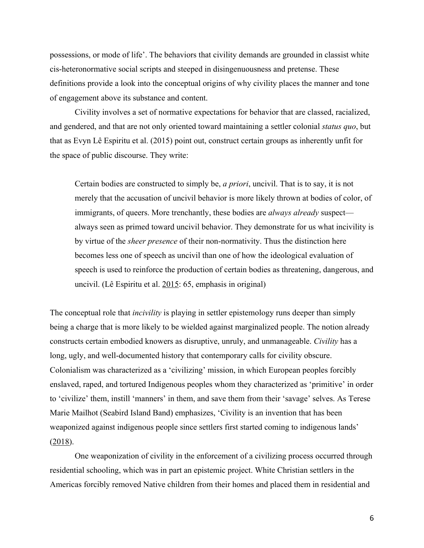possessions, or mode of life'. The behaviors that civility demands are grounded in classist white cis-heteronormative social scripts and steeped in disingenuousness and pretense. These definitions provide a look into the conceptual origins of why civility places the manner and tone of engagement above its substance and content.

Civility involves a set of normative expectations for behavior that are classed, racialized, and gendered, and that are not only oriented toward maintaining a settler colonial *status quo*, but that as Evyn Lê Espiritu et al. (2015) point out, construct certain groups as inherently unfit for the space of public discourse. They write:

Certain bodies are constructed to simply be, *a priori*, uncivil. That is to say, it is not merely that the accusation of uncivil behavior is more likely thrown at bodies of color, of immigrants, of queers. More trenchantly, these bodies are *always already* suspect always seen as primed toward uncivil behavior. They demonstrate for us what incivility is by virtue of the *sheer presence* of their non-normativity. Thus the distinction here becomes less one of speech as uncivil than one of how the ideological evaluation of speech is used to reinforce the production of certain bodies as threatening, dangerous, and uncivil. (Lê Espiritu et al. 2015: 65, emphasis in original)

The conceptual role that *incivility* is playing in settler epistemology runs deeper than simply being a charge that is more likely to be wielded against marginalized people. The notion already constructs certain embodied knowers as disruptive, unruly, and unmanageable. *Civility* has a long, ugly, and well-documented history that contemporary calls for civility obscure. Colonialism was characterized as a 'civilizing' mission, in which European peoples forcibly enslaved, raped, and tortured Indigenous peoples whom they characterized as 'primitive' in order to 'civilize' them, instill 'manners' in them, and save them from their 'savage' selves. As Terese Marie Mailhot (Seabird Island Band) emphasizes, 'Civility is an invention that has been weaponized against indigenous people since settlers first started coming to indigenous lands'  $(2018).$ 

One weaponization of civility in the enforcement of a civilizing process occurred through residential schooling, which was in part an epistemic project. White Christian settlers in the Americas forcibly removed Native children from their homes and placed them in residential and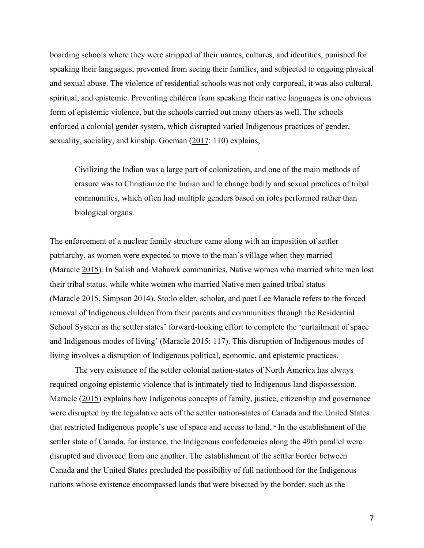boarding schools where they were stripped of their names, cultures, and identities, punished for speaking their languages, prevented from seeing their families, and subjected to ongoing physical and sexual abuse. The violence of residential schools was not only corporeal, it was also cultural, spiritual, and epistemic. Preventing children from speaking their native languages is one obvious form of epistemic violence, but the schools carried out many others as well. The schools enforced a colonial gender system, which disrupted varied Indigenous practices of gender, sexuality, sociality, and kinship. Goeman (2017: 110) explains,

Civilizing the Indian was a large part of colonization, and one of the main methods of erasure was to Christianize the Indian and to change bodily and sexual practices of tribal communities, which often had multiple genders based on roles performed rather than biological organs.

The enforcement of a nuclear family structure came along with an imposition of settler patriarchy, as women were expected to move to the man's village when they married (Maracle 2015). In Salish and Mohawk communities, Native women who married white men lost their tribal status, while white women who married Native men gained tribal status (Maracle 2015, Simpson 2014). Sto:lo elder, scholar, and poet Lee Maracle refers to the forced removal of Indigenous children from their parents and communities through the Residential School System as the settler states' forward-looking effort to complete the 'curtailment of space and Indigenous modes of living' (Maracle 2015: 117). This disruption of Indigenous modes of living involves a disruption of Indigenous political, economic, and epistemic practices.

The very existence of the settler colonial nation-states of North America has always required ongoing epistemic violence that is intimately tied to Indigenous land dispossession. Maracle (2015) explains how Indigenous concepts of family, justice, citizenship and governance were disrupted by the legislative acts of the settler nation-states of Canada and the United States that restricted Indigenous people's use of space and access to land. <sup>4</sup> In the establishment of the settler state of Canada, for instance, the Indigenous confederacies along the 49th parallel were disrupted and divorced from one another. The establishment of the settler border between Canada and the United States precluded the possibility of full nationhood for the Indigenous nations whose existence encompassed lands that were bisected by the border, such as the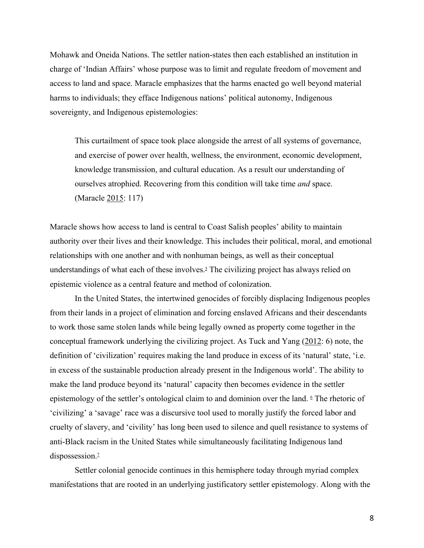Mohawk and Oneida Nations. The settler nation-states then each established an institution in charge of 'Indian Affairs' whose purpose was to limit and regulate freedom of movement and access to land and space. Maracle emphasizes that the harms enacted go well beyond material harms to individuals; they efface Indigenous nations' political autonomy, Indigenous sovereignty, and Indigenous epistemologies:

This curtailment of space took place alongside the arrest of all systems of governance, and exercise of power over health, wellness, the environment, economic development, knowledge transmission, and cultural education. As a result our understanding of ourselves atrophied. Recovering from this condition will take time *and* space. (Maracle 2015: 117)

Maracle shows how access to land is central to Coast Salish peoples' ability to maintain authority over their lives and their knowledge. This includes their political, moral, and emotional relationships with one another and with nonhuman beings, as well as their conceptual understandings of what each of these involves. $5$  The civilizing project has always relied on epistemic violence as a central feature and method of colonization.

In the United States, the intertwined genocides of forcibly displacing Indigenous peoples from their lands in a project of elimination and forcing enslaved Africans and their descendants to work those same stolen lands while being legally owned as property come together in the conceptual framework underlying the civilizing project. As Tuck and Yang (2012: 6) note, the definition of 'civilization' requires making the land produce in excess of its 'natural' state, 'i.e. in excess of the sustainable production already present in the Indigenous world'. The ability to make the land produce beyond its 'natural' capacity then becomes evidence in the settler epistemology of the settler's ontological claim to and dominion over the land.  $\epsilon$  The rhetoric of 'civilizing' a 'savage' race was a discursive tool used to morally justify the forced labor and cruelty of slavery, and 'civility' has long been used to silence and quell resistance to systems of anti-Black racism in the United States while simultaneously facilitating Indigenous land dispossession.<sup>2</sup>

Settler colonial genocide continues in this hemisphere today through myriad complex manifestations that are rooted in an underlying justificatory settler epistemology. Along with the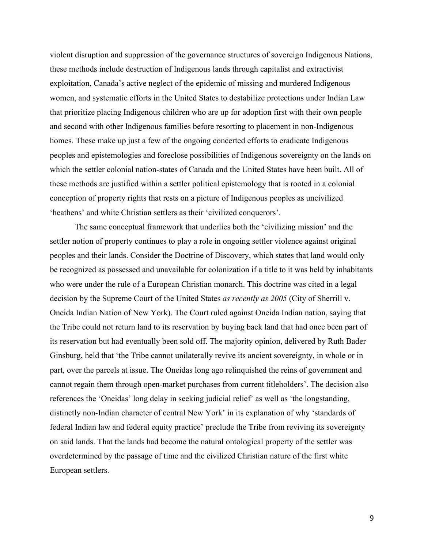violent disruption and suppression of the governance structures of sovereign Indigenous Nations, these methods include destruction of Indigenous lands through capitalist and extractivist exploitation, Canada's active neglect of the epidemic of missing and murdered Indigenous women, and systematic efforts in the United States to destabilize protections under Indian Law that prioritize placing Indigenous children who are up for adoption first with their own people and second with other Indigenous families before resorting to placement in non-Indigenous homes. These make up just a few of the ongoing concerted efforts to eradicate Indigenous peoples and epistemologies and foreclose possibilities of Indigenous sovereignty on the lands on which the settler colonial nation-states of Canada and the United States have been built. All of these methods are justified within a settler political epistemology that is rooted in a colonial conception of property rights that rests on a picture of Indigenous peoples as uncivilized 'heathens' and white Christian settlers as their 'civilized conquerors'.

The same conceptual framework that underlies both the 'civilizing mission' and the settler notion of property continues to play a role in ongoing settler violence against original peoples and their lands. Consider the Doctrine of Discovery, which states that land would only be recognized as possessed and unavailable for colonization if a title to it was held by inhabitants who were under the rule of a European Christian monarch. This doctrine was cited in a legal decision by the Supreme Court of the United States *as recently as 2005* (City of Sherrill v. Oneida Indian Nation of New York). The Court ruled against Oneida Indian nation, saying that the Tribe could not return land to its reservation by buying back land that had once been part of its reservation but had eventually been sold off. The majority opinion, delivered by Ruth Bader Ginsburg, held that 'the Tribe cannot unilaterally revive its ancient sovereignty, in whole or in part, over the parcels at issue. The Oneidas long ago relinquished the reins of government and cannot regain them through open-market purchases from current titleholders'. The decision also references the 'Oneidas' long delay in seeking judicial relief' as well as 'the longstanding, distinctly non-Indian character of central New York' in its explanation of why 'standards of federal Indian law and federal equity practice' preclude the Tribe from reviving its sovereignty on said lands. That the lands had become the natural ontological property of the settler was overdetermined by the passage of time and the civilized Christian nature of the first white European settlers.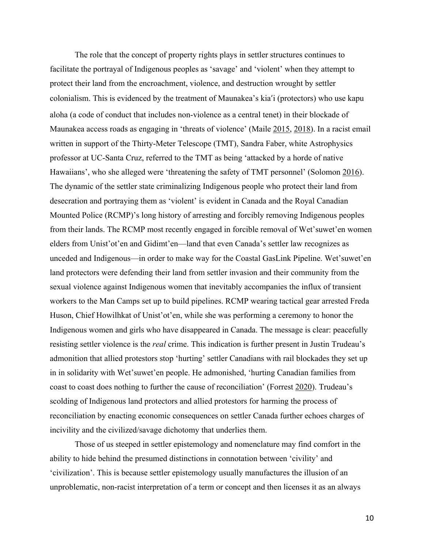The role that the concept of property rights plays in settler structures continues to facilitate the portrayal of Indigenous peoples as 'savage' and 'violent' when they attempt to protect their land from the encroachment, violence, and destruction wrought by settler colonialism. This is evidenced by the treatment of Maunakea's kia'i (protectors) who use kapu aloha (a code of conduct that includes non-violence as a central tenet) in their blockade of Maunakea access roads as engaging in 'threats of violence' (Maile 2015, 2018). In a racist email written in support of the Thirty-Meter Telescope (TMT), Sandra Faber, white Astrophysics professor at UC-Santa Cruz, referred to the TMT as being 'attacked by a horde of native Hawaiians', who she alleged were 'threatening the safety of TMT personnel' (Solomon 2016). The dynamic of the settler state criminalizing Indigenous people who protect their land from desecration and portraying them as 'violent' is evident in Canada and the Royal Canadian Mounted Police (RCMP)'s long history of arresting and forcibly removing Indigenous peoples from their lands. The RCMP most recently engaged in forcible removal of Wet'suwet'en women elders from Unist'ot'en and Gidimt'en—land that even Canada's settler law recognizes as unceded and Indigenous—in order to make way for the Coastal GasLink Pipeline. Wet'suwet'en land protectors were defending their land from settler invasion and their community from the sexual violence against Indigenous women that inevitably accompanies the influx of transient workers to the Man Camps set up to build pipelines. RCMP wearing tactical gear arrested Freda Huson, Chief Howilhkat of Unist'ot'en, while she was performing a ceremony to honor the Indigenous women and girls who have disappeared in Canada. The message is clear: peacefully resisting settler violence is the *real* crime. This indication is further present in Justin Trudeau's admonition that allied protestors stop 'hurting' settler Canadians with rail blockades they set up in in solidarity with Wet'suwet'en people. He admonished, 'hurting Canadian families from coast to coast does nothing to further the cause of reconciliation' (Forrest 2020). Trudeau's scolding of Indigenous land protectors and allied protestors for harming the process of reconciliation by enacting economic consequences on settler Canada further echoes charges of incivility and the civilized/savage dichotomy that underlies them.

Those of us steeped in settler epistemology and nomenclature may find comfort in the ability to hide behind the presumed distinctions in connotation between 'civility' and 'civilization'. This is because settler epistemology usually manufactures the illusion of an unproblematic, non-racist interpretation of a term or concept and then licenses it as an always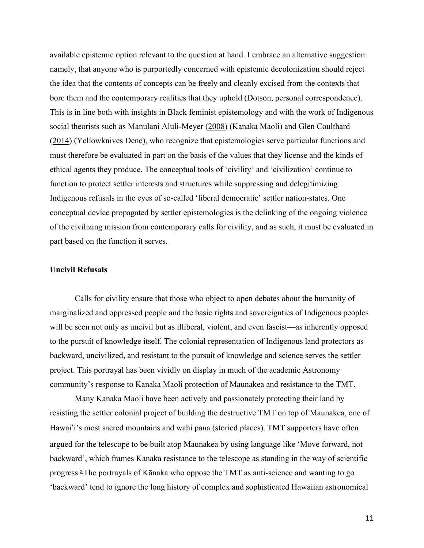available epistemic option relevant to the question at hand. I embrace an alternative suggestion: namely, that anyone who is purportedly concerned with epistemic decolonization should reject the idea that the contents of concepts can be freely and cleanly excised from the contexts that bore them and the contemporary realities that they uphold (Dotson, personal correspondence). This is in line both with insights in Black feminist epistemology and with the work of Indigenous social theorists such as Manulani Aluli-Meyer (2008) (Kanaka Maoli) and Glen Coulthard (2014) (Yellowknives Dene), who recognize that epistemologies serve particular functions and must therefore be evaluated in part on the basis of the values that they license and the kinds of ethical agents they produce. The conceptual tools of 'civility' and 'civilization' continue to function to protect settler interests and structures while suppressing and delegitimizing Indigenous refusals in the eyes of so-called 'liberal democratic' settler nation-states. One conceptual device propagated by settler epistemologies is the delinking of the ongoing violence of the civilizing mission from contemporary calls for civility, and as such, it must be evaluated in part based on the function it serves.

## **Uncivil Refusals**

Calls for civility ensure that those who object to open debates about the humanity of marginalized and oppressed people and the basic rights and sovereignties of Indigenous peoples will be seen not only as uncivil but as illiberal, violent, and even fascist—as inherently opposed to the pursuit of knowledge itself. The colonial representation of Indigenous land protectors as backward, uncivilized, and resistant to the pursuit of knowledge and science serves the settler project. This portrayal has been vividly on display in much of the academic Astronomy community's response to Kanaka Maoli protection of Maunakea and resistance to the TMT.

Many Kanaka Maoli have been actively and passionately protecting their land by resisting the settler colonial project of building the destructive TMT on top of Maunakea, one of Hawai'i's most sacred mountains and wahi pana (storied places). TMT supporters have often argued for the telescope to be built atop Maunakea by using language like 'Move forward, not backward', which frames Kanaka resistance to the telescope as standing in the way of scientific progress. 8The portrayals of Kānaka who oppose the TMT as anti-science and wanting to go 'backward' tend to ignore the long history of complex and sophisticated Hawaiian astronomical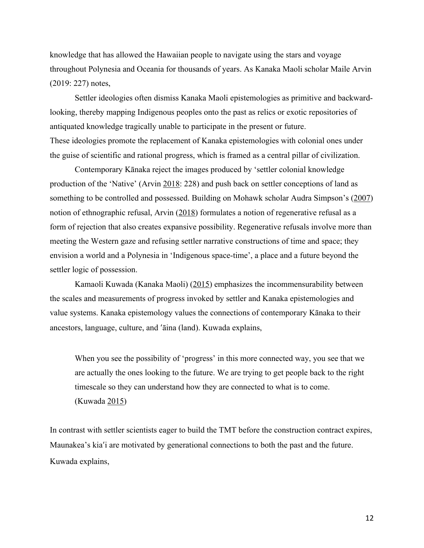knowledge that has allowed the Hawaiian people to navigate using the stars and voyage throughout Polynesia and Oceania for thousands of years. As Kanaka Maoli scholar Maile Arvin (2019: 227) notes,

Settler ideologies often dismiss Kanaka Maoli epistemologies as primitive and backwardlooking, thereby mapping Indigenous peoples onto the past as relics or exotic repositories of antiquated knowledge tragically unable to participate in the present or future. These ideologies promote the replacement of Kanaka epistemologies with colonial ones under the guise of scientific and rational progress, which is framed as a central pillar of civilization.

Contemporary Kānaka reject the images produced by 'settler colonial knowledge production of the 'Native' (Arvin 2018: 228) and push back on settler conceptions of land as something to be controlled and possessed. Building on Mohawk scholar Audra Simpson's (2007) notion of ethnographic refusal, Arvin (2018) formulates a notion of regenerative refusal as a form of rejection that also creates expansive possibility. Regenerative refusals involve more than meeting the Western gaze and refusing settler narrative constructions of time and space; they envision a world and a Polynesia in 'Indigenous space-time', a place and a future beyond the settler logic of possession.

Kamaoli Kuwada (Kanaka Maoli) (2015) emphasizes the incommensurability between the scales and measurements of progress invoked by settler and Kanaka epistemologies and value systems. Kanaka epistemology values the connections of contemporary Kānaka to their ancestors, language, culture, and 'āina (land). Kuwada explains,

When you see the possibility of 'progress' in this more connected way, you see that we are actually the ones looking to the future. We are trying to get people back to the right timescale so they can understand how they are connected to what is to come. (Kuwada 2015)

In contrast with settler scientists eager to build the TMT before the construction contract expires, Maunakea's kia'i are motivated by generational connections to both the past and the future. Kuwada explains,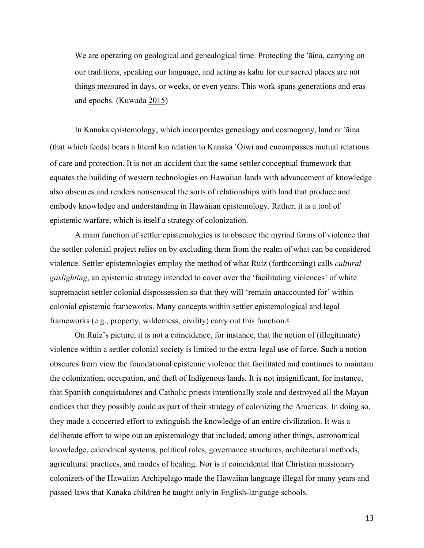We are operating on geological and genealogical time. Protecting the 'āina, carrying on our traditions, speaking our language, and acting as kahu for our sacred places are not things measured in days, or weeks, or even years. This work spans generations and eras and epochs. (Kuwada 2015)

In Kanaka epistemology, which incorporates genealogy and cosmogony, land or 'āina (that which feeds) bears a literal kin relation to Kanaka 'Ōiwi and encompasses mutual relations of care and protection. It is not an accident that the same settler conceptual framework that equates the building of western technologies on Hawaiian lands with advancement of knowledge also obscures and renders nonsensical the sorts of relationships with land that produce and embody knowledge and understanding in Hawaiian epistemology. Rather, it is a tool of epistemic warfare, which is itself a strategy of colonization.

A main function of settler epistemologies is to obscure the myriad forms of violence that the settler colonial project relies on by excluding them from the realm of what can be considered violence. Settler epistemologies employ the method of what Ruíz (forthcoming) calls *cultural gaslighting*, an epistemic strategy intended to cover over the 'facilitating violences' of white supremacist settler colonial dispossession so that they will 'remain unaccounted for' within colonial epistemic frameworks. Many concepts within settler epistemological and legal frameworks (e.g., property, wilderness, civility) carry out this function.<sup>2</sup>

On Ruíz's picture, it is not a coincidence, for instance, that the notion of (illegitimate) violence within a settler colonial society is limited to the extra-legal use of force. Such a notion obscures from view the foundational epistemic violence that facilitated and continues to maintain the colonization, occupation, and theft of Indigenous lands. It is not insignificant, for instance, that Spanish conquistadores and Catholic priests intentionally stole and destroyed all the Mayan codices that they possibly could as part of their strategy of colonizing the Americas. In doing so, they made a concerted effort to extinguish the knowledge of an entire civilization. It was a deliberate effort to wipe out an epistemology that included, among other things, astronomical knowledge, calendrical systems, political roles, governance structures, architectural methods, agricultural practices, and modes of healing. Nor is it coincidental that Christian missionary colonizers of the Hawaiian Archipelago made the Hawaiian language illegal for many years and passed laws that Kanaka children be taught only in English-language schools.

13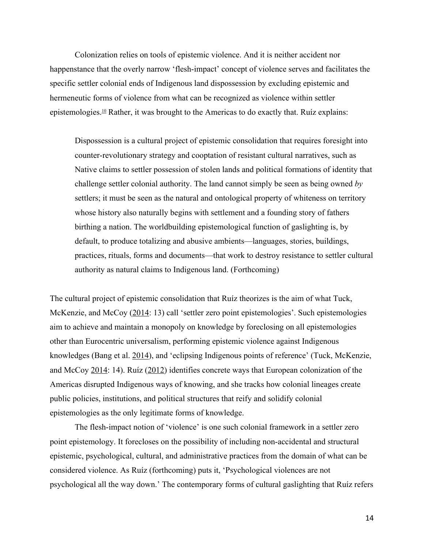Colonization relies on tools of epistemic violence. And it is neither accident nor happenstance that the overly narrow 'flesh-impact' concept of violence serves and facilitates the specific settler colonial ends of Indigenous land dispossession by excluding epistemic and hermeneutic forms of violence from what can be recognized as violence within settler epistemologies.<sup>10</sup> Rather, it was brought to the Americas to do exactly that. Ruíz explains:

Dispossession is a cultural project of epistemic consolidation that requires foresight into counter-revolutionary strategy and cooptation of resistant cultural narratives, such as Native claims to settler possession of stolen lands and political formations of identity that challenge settler colonial authority. The land cannot simply be seen as being owned *by* settlers; it must be seen as the natural and ontological property of whiteness on territory whose history also naturally begins with settlement and a founding story of fathers birthing a nation. The worldbuilding epistemological function of gaslighting is, by default, to produce totalizing and abusive ambients—languages, stories, buildings, practices, rituals, forms and documents—that work to destroy resistance to settler cultural authority as natural claims to Indigenous land. (Forthcoming)

The cultural project of epistemic consolidation that Ruíz theorizes is the aim of what Tuck, McKenzie, and McCoy (2014: 13) call 'settler zero point epistemologies'. Such epistemologies aim to achieve and maintain a monopoly on knowledge by foreclosing on all epistemologies other than Eurocentric universalism, performing epistemic violence against Indigenous knowledges (Bang et al. 2014), and 'eclipsing Indigenous points of reference' (Tuck, McKenzie, and McCoy 2014: 14). Ruíz (2012) identifies concrete ways that European colonization of the Americas disrupted Indigenous ways of knowing, and she tracks how colonial lineages create public policies, institutions, and political structures that reify and solidify colonial epistemologies as the only legitimate forms of knowledge.

The flesh-impact notion of 'violence' is one such colonial framework in a settler zero point epistemology. It forecloses on the possibility of including non-accidental and structural epistemic, psychological, cultural, and administrative practices from the domain of what can be considered violence. As Ruíz (forthcoming) puts it, 'Psychological violences are not psychological all the way down.' The contemporary forms of cultural gaslighting that Ruíz refers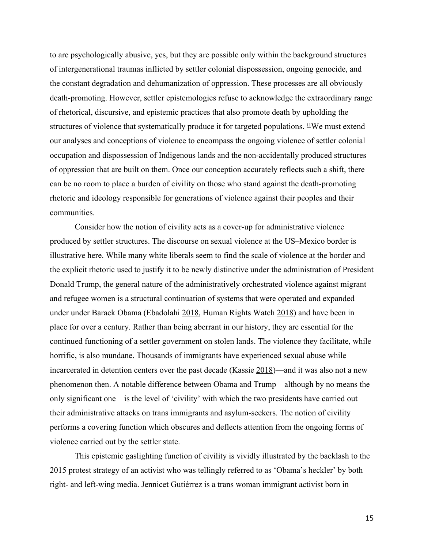to are psychologically abusive, yes, but they are possible only within the background structures of intergenerational traumas inflicted by settler colonial dispossession, ongoing genocide, and the constant degradation and dehumanization of oppression. These processes are all obviously death-promoting. However, settler epistemologies refuse to acknowledge the extraordinary range of rhetorical, discursive, and epistemic practices that also promote death by upholding the structures of violence that systematically produce it for targeted populations.  $\perp^{\text{II}}$ We must extend our analyses and conceptions of violence to encompass the ongoing violence of settler colonial occupation and dispossession of Indigenous lands and the non-accidentally produced structures of oppression that are built on them. Once our conception accurately reflects such a shift, there can be no room to place a burden of civility on those who stand against the death-promoting rhetoric and ideology responsible for generations of violence against their peoples and their communities.

Consider how the notion of civility acts as a cover-up for administrative violence produced by settler structures. The discourse on sexual violence at the US–Mexico border is illustrative here. While many white liberals seem to find the scale of violence at the border and the explicit rhetoric used to justify it to be newly distinctive under the administration of President Donald Trump, the general nature of the administratively orchestrated violence against migrant and refugee women is a structural continuation of systems that were operated and expanded under under Barack Obama (Ebadolahi 2018, Human Rights Watch 2018) and have been in place for over a century. Rather than being aberrant in our history, they are essential for the continued functioning of a settler government on stolen lands. The violence they facilitate, while horrific, is also mundane. Thousands of immigrants have experienced sexual abuse while incarcerated in detention centers over the past decade (Kassie 2018)—and it was also not a new phenomenon then. A notable difference between Obama and Trump—although by no means the only significant one—is the level of 'civility' with which the two presidents have carried out their administrative attacks on trans immigrants and asylum-seekers. The notion of civility performs a covering function which obscures and deflects attention from the ongoing forms of violence carried out by the settler state.

This epistemic gaslighting function of civility is vividly illustrated by the backlash to the 2015 protest strategy of an activist who was tellingly referred to as 'Obama's heckler' by both right- and left-wing media. Jennicet Gutiérrez is a trans woman immigrant activist born in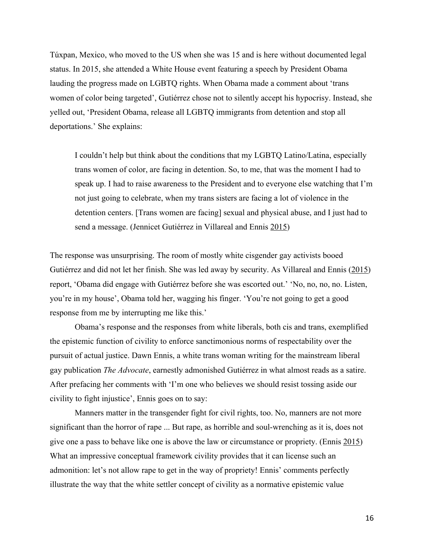Túxpan, Mexico, who moved to the US when she was 15 and is here without documented legal status. In 2015, she attended a White House event featuring a speech by President Obama lauding the progress made on LGBTQ rights. When Obama made a comment about 'trans women of color being targeted', Gutiérrez chose not to silently accept his hypocrisy. Instead, she yelled out, 'President Obama, release all LGBTQ immigrants from detention and stop all deportations.' She explains:

I couldn't help but think about the conditions that my LGBTQ Latino/Latina, especially trans women of color, are facing in detention. So, to me, that was the moment I had to speak up. I had to raise awareness to the President and to everyone else watching that I'm not just going to celebrate, when my trans sisters are facing a lot of violence in the detention centers. [Trans women are facing] sexual and physical abuse, and I just had to send a message. (Jennicet Gutiérrez in Villareal and Ennis 2015)

The response was unsurprising. The room of mostly white cisgender gay activists booed Gutiérrez and did not let her finish. She was led away by security. As Villareal and Ennis (2015) report, 'Obama did engage with Gutiérrez before she was escorted out.' 'No, no, no, no. Listen, you're in my house', Obama told her, wagging his finger. 'You're not going to get a good response from me by interrupting me like this.'

Obama's response and the responses from white liberals, both cis and trans, exemplified the epistemic function of civility to enforce sanctimonious norms of respectability over the pursuit of actual justice. Dawn Ennis, a white trans woman writing for the mainstream liberal gay publication *The Advocate*, earnestly admonished Gutiérrez in what almost reads as a satire. After prefacing her comments with 'I'm one who believes we should resist tossing aside our civility to fight injustice', Ennis goes on to say:

Manners matter in the transgender fight for civil rights, too. No, manners are not more significant than the horror of rape ... But rape, as horrible and soul-wrenching as it is, does not give one a pass to behave like one is above the law or circumstance or propriety. (Ennis 2015) What an impressive conceptual framework civility provides that it can license such an admonition: let's not allow rape to get in the way of propriety! Ennis' comments perfectly illustrate the way that the white settler concept of civility as a normative epistemic value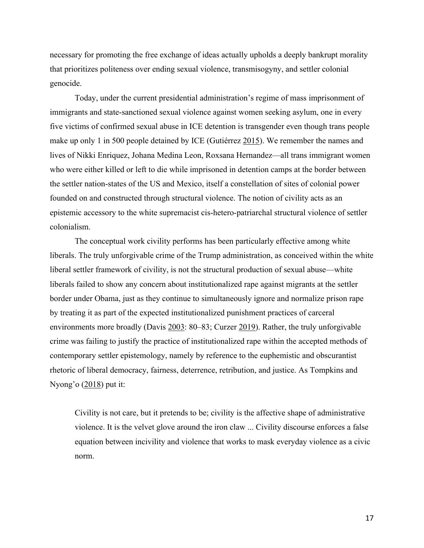necessary for promoting the free exchange of ideas actually upholds a deeply bankrupt morality that prioritizes politeness over ending sexual violence, transmisogyny, and settler colonial genocide.

Today, under the current presidential administration's regime of mass imprisonment of immigrants and state-sanctioned sexual violence against women seeking asylum, one in every five victims of confirmed sexual abuse in ICE detention is transgender even though trans people make up only 1 in 500 people detained by ICE (Gutiérrez 2015). We remember the names and lives of Nikki Enriquez, Johana Medina Leon, Roxsana Hernandez—all trans immigrant women who were either killed or left to die while imprisoned in detention camps at the border between the settler nation-states of the US and Mexico, itself a constellation of sites of colonial power founded on and constructed through structural violence. The notion of civility acts as an epistemic accessory to the white supremacist cis-hetero-patriarchal structural violence of settler colonialism.

The conceptual work civility performs has been particularly effective among white liberals. The truly unforgivable crime of the Trump administration, as conceived within the white liberal settler framework of civility, is not the structural production of sexual abuse—white liberals failed to show any concern about institutionalized rape against migrants at the settler border under Obama, just as they continue to simultaneously ignore and normalize prison rape by treating it as part of the expected institutionalized punishment practices of carceral environments more broadly (Davis 2003: 80–83; Curzer 2019). Rather, the truly unforgivable crime was failing to justify the practice of institutionalized rape within the accepted methods of contemporary settler epistemology, namely by reference to the euphemistic and obscurantist rhetoric of liberal democracy, fairness, deterrence, retribution, and justice. As Tompkins and Nyong'o (2018) put it:

Civility is not care, but it pretends to be; civility is the affective shape of administrative violence. It is the velvet glove around the iron claw ... Civility discourse enforces a false equation between incivility and violence that works to mask everyday violence as a civic norm.

17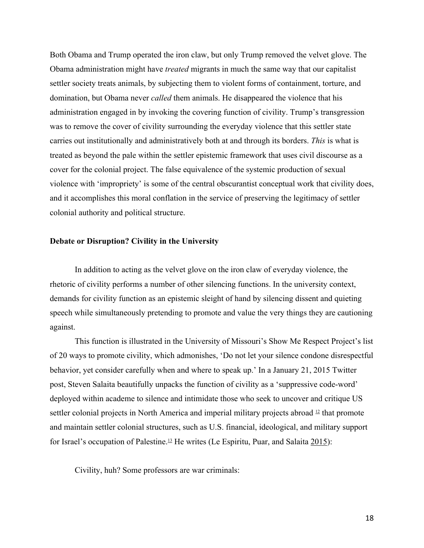Both Obama and Trump operated the iron claw, but only Trump removed the velvet glove. The Obama administration might have *treated* migrants in much the same way that our capitalist settler society treats animals, by subjecting them to violent forms of containment, torture, and domination, but Obama never *called* them animals. He disappeared the violence that his administration engaged in by invoking the covering function of civility. Trump's transgression was to remove the cover of civility surrounding the everyday violence that this settler state carries out institutionally and administratively both at and through its borders. *This* is what is treated as beyond the pale within the settler epistemic framework that uses civil discourse as a cover for the colonial project. The false equivalence of the systemic production of sexual violence with 'impropriety' is some of the central obscurantist conceptual work that civility does, and it accomplishes this moral conflation in the service of preserving the legitimacy of settler colonial authority and political structure.

#### **Debate or Disruption? Civility in the University**

In addition to acting as the velvet glove on the iron claw of everyday violence, the rhetoric of civility performs a number of other silencing functions. In the university context, demands for civility function as an epistemic sleight of hand by silencing dissent and quieting speech while simultaneously pretending to promote and value the very things they are cautioning against.

This function is illustrated in the University of Missouri's Show Me Respect Project's list of 20 ways to promote civility, which admonishes, 'Do not let your silence condone disrespectful behavior, yet consider carefully when and where to speak up.' In a January 21, 2015 Twitter post, Steven Salaita beautifully unpacks the function of civility as a 'suppressive code-word' deployed within academe to silence and intimidate those who seek to uncover and critique US settler colonial projects in North America and imperial military projects abroad  $\frac{12}{2}$  that promote and maintain settler colonial structures, such as U.S. financial, ideological, and military support for Israel's occupation of Palestine.<sup>13</sup> He writes (Le Espiritu, Puar, and Salaita  $2015$ ):

Civility, huh? Some professors are war criminals: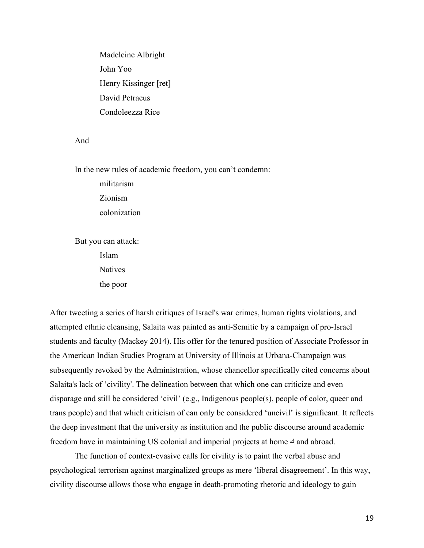Madeleine Albright John Yoo Henry Kissinger [ret] David Petraeus Condoleezza Rice

#### And

In the new rules of academic freedom, you can't condemn:

militarism Zionism colonization

But you can attack:

Islam

Natives

the poor

After tweeting a series of harsh critiques of Israel's war crimes, human rights violations, and attempted ethnic cleansing, Salaita was painted as anti-Semitic by a campaign of pro-Israel students and faculty (Mackey 2014). His offer for the tenured position of Associate Professor in the American Indian Studies Program at University of Illinois at Urbana-Champaign was subsequently revoked by the Administration, whose chancellor specifically cited concerns about Salaita's lack of 'civility'. The delineation between that which one can criticize and even disparage and still be considered 'civil' (e.g., Indigenous people(s), people of color, queer and trans people) and that which criticism of can only be considered 'uncivil' is significant. It reflects the deep investment that the university as institution and the public discourse around academic freedom have in maintaining US colonial and imperial projects at home  $\frac{14}{14}$  and abroad.

The function of context-evasive calls for civility is to paint the verbal abuse and psychological terrorism against marginalized groups as mere 'liberal disagreement'. In this way, civility discourse allows those who engage in death-promoting rhetoric and ideology to gain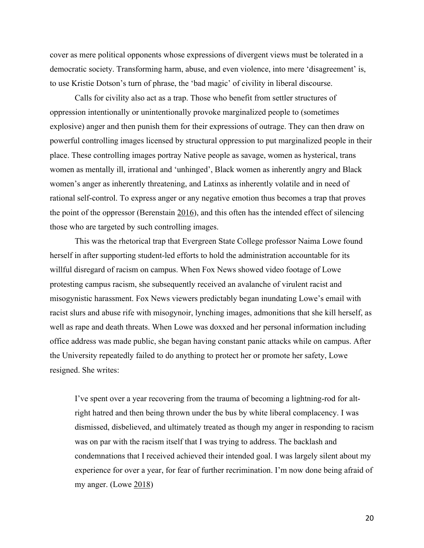cover as mere political opponents whose expressions of divergent views must be tolerated in a democratic society. Transforming harm, abuse, and even violence, into mere 'disagreement' is, to use Kristie Dotson's turn of phrase, the 'bad magic' of civility in liberal discourse.

Calls for civility also act as a trap. Those who benefit from settler structures of oppression intentionally or unintentionally provoke marginalized people to (sometimes explosive) anger and then punish them for their expressions of outrage. They can then draw on powerful controlling images licensed by structural oppression to put marginalized people in their place. These controlling images portray Native people as savage, women as hysterical, trans women as mentally ill, irrational and 'unhinged', Black women as inherently angry and Black women's anger as inherently threatening, and Latinxs as inherently volatile and in need of rational self-control. To express anger or any negative emotion thus becomes a trap that proves the point of the oppressor (Berenstain 2016), and this often has the intended effect of silencing those who are targeted by such controlling images.

This was the rhetorical trap that Evergreen State College professor Naima Lowe found herself in after supporting student-led efforts to hold the administration accountable for its willful disregard of racism on campus. When Fox News showed video footage of Lowe protesting campus racism, she subsequently received an avalanche of virulent racist and misogynistic harassment. Fox News viewers predictably began inundating Lowe's email with racist slurs and abuse rife with misogynoir, lynching images, admonitions that she kill herself, as well as rape and death threats. When Lowe was doxxed and her personal information including office address was made public, she began having constant panic attacks while on campus. After the University repeatedly failed to do anything to protect her or promote her safety, Lowe resigned. She writes:

I've spent over a year recovering from the trauma of becoming a lightning-rod for altright hatred and then being thrown under the bus by white liberal complacency. I was dismissed, disbelieved, and ultimately treated as though my anger in responding to racism was on par with the racism itself that I was trying to address. The backlash and condemnations that I received achieved their intended goal. I was largely silent about my experience for over a year, for fear of further recrimination. I'm now done being afraid of my anger. (Lowe  $2018$ )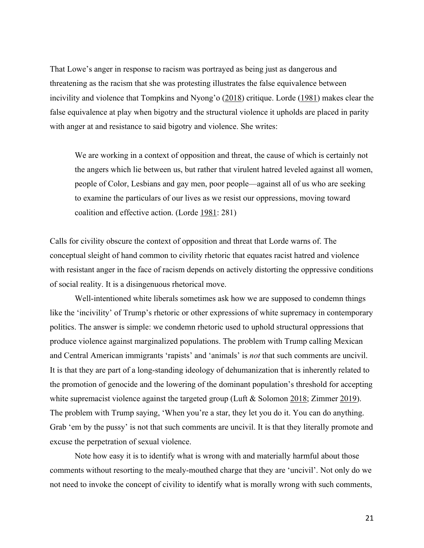That Lowe's anger in response to racism was portrayed as being just as dangerous and threatening as the racism that she was protesting illustrates the false equivalence between incivility and violence that Tompkins and Nyong'o (2018) critique. Lorde (1981) makes clear the false equivalence at play when bigotry and the structural violence it upholds are placed in parity with anger at and resistance to said bigotry and violence. She writes:

We are working in a context of opposition and threat, the cause of which is certainly not the angers which lie between us, but rather that virulent hatred leveled against all women, people of Color, Lesbians and gay men, poor people—against all of us who are seeking to examine the particulars of our lives as we resist our oppressions, moving toward coalition and effective action. (Lorde 1981: 281)

Calls for civility obscure the context of opposition and threat that Lorde warns of. The conceptual sleight of hand common to civility rhetoric that equates racist hatred and violence with resistant anger in the face of racism depends on actively distorting the oppressive conditions of social reality. It is a disingenuous rhetorical move.

Well-intentioned white liberals sometimes ask how we are supposed to condemn things like the 'incivility' of Trump's rhetoric or other expressions of white supremacy in contemporary politics. The answer is simple: we condemn rhetoric used to uphold structural oppressions that produce violence against marginalized populations. The problem with Trump calling Mexican and Central American immigrants 'rapists' and 'animals' is *not* that such comments are uncivil. It is that they are part of a long-standing ideology of dehumanization that is inherently related to the promotion of genocide and the lowering of the dominant population's threshold for accepting white supremacist violence against the targeted group (Luft & Solomon 2018; Zimmer 2019). The problem with Trump saying, 'When you're a star, they let you do it. You can do anything. Grab 'em by the pussy' is not that such comments are uncivil. It is that they literally promote and excuse the perpetration of sexual violence.

Note how easy it is to identify what is wrong with and materially harmful about those comments without resorting to the mealy-mouthed charge that they are 'uncivil'. Not only do we not need to invoke the concept of civility to identify what is morally wrong with such comments,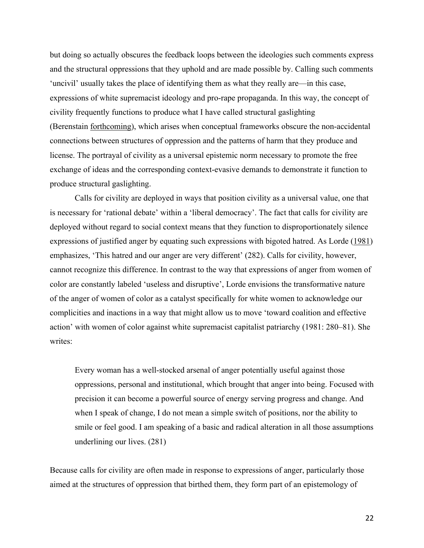but doing so actually obscures the feedback loops between the ideologies such comments express and the structural oppressions that they uphold and are made possible by. Calling such comments 'uncivil' usually takes the place of identifying them as what they really are—in this case, expressions of white supremacist ideology and pro-rape propaganda. In this way, the concept of civility frequently functions to produce what I have called structural gaslighting (Berenstain forthcoming), which arises when conceptual frameworks obscure the non-accidental connections between structures of oppression and the patterns of harm that they produce and license. The portrayal of civility as a universal epistemic norm necessary to promote the free exchange of ideas and the corresponding context-evasive demands to demonstrate it function to produce structural gaslighting.

Calls for civility are deployed in ways that position civility as a universal value, one that is necessary for 'rational debate' within a 'liberal democracy'. The fact that calls for civility are deployed without regard to social context means that they function to disproportionately silence expressions of justified anger by equating such expressions with bigoted hatred. As Lorde (1981) emphasizes, 'This hatred and our anger are very different' (282). Calls for civility, however, cannot recognize this difference. In contrast to the way that expressions of anger from women of color are constantly labeled 'useless and disruptive', Lorde envisions the transformative nature of the anger of women of color as a catalyst specifically for white women to acknowledge our complicities and inactions in a way that might allow us to move 'toward coalition and effective action' with women of color against white supremacist capitalist patriarchy (1981: 280–81). She writes:

Every woman has a well-stocked arsenal of anger potentially useful against those oppressions, personal and institutional, which brought that anger into being. Focused with precision it can become a powerful source of energy serving progress and change. And when I speak of change, I do not mean a simple switch of positions, nor the ability to smile or feel good. I am speaking of a basic and radical alteration in all those assumptions underlining our lives. (281)

Because calls for civility are often made in response to expressions of anger, particularly those aimed at the structures of oppression that birthed them, they form part of an epistemology of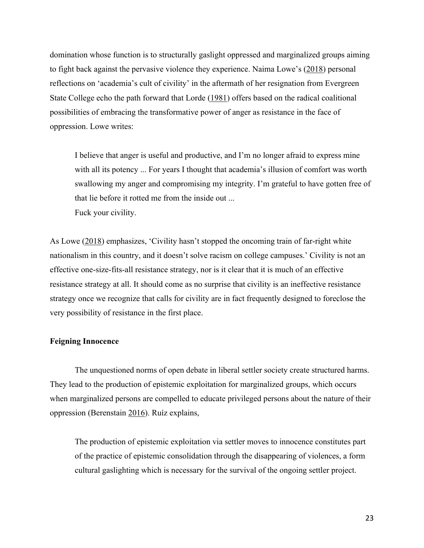domination whose function is to structurally gaslight oppressed and marginalized groups aiming to fight back against the pervasive violence they experience. Naima Lowe's (2018) personal reflections on 'academia's cult of civility' in the aftermath of her resignation from Evergreen State College echo the path forward that Lorde (1981) offers based on the radical coalitional possibilities of embracing the transformative power of anger as resistance in the face of oppression. Lowe writes:

I believe that anger is useful and productive, and I'm no longer afraid to express mine with all its potency ... For years I thought that academia's illusion of comfort was worth swallowing my anger and compromising my integrity. I'm grateful to have gotten free of that lie before it rotted me from the inside out ... Fuck your civility.

As Lowe (2018) emphasizes, 'Civility hasn't stopped the oncoming train of far-right white nationalism in this country, and it doesn't solve racism on college campuses.' Civility is not an effective one-size-fits-all resistance strategy, nor is it clear that it is much of an effective resistance strategy at all. It should come as no surprise that civility is an ineffective resistance strategy once we recognize that calls for civility are in fact frequently designed to foreclose the very possibility of resistance in the first place.

# **Feigning Innocence**

The unquestioned norms of open debate in liberal settler society create structured harms. They lead to the production of epistemic exploitation for marginalized groups, which occurs when marginalized persons are compelled to educate privileged persons about the nature of their oppression (Berenstain 2016). Ruíz explains,

The production of epistemic exploitation via settler moves to innocence constitutes part of the practice of epistemic consolidation through the disappearing of violences, a form cultural gaslighting which is necessary for the survival of the ongoing settler project.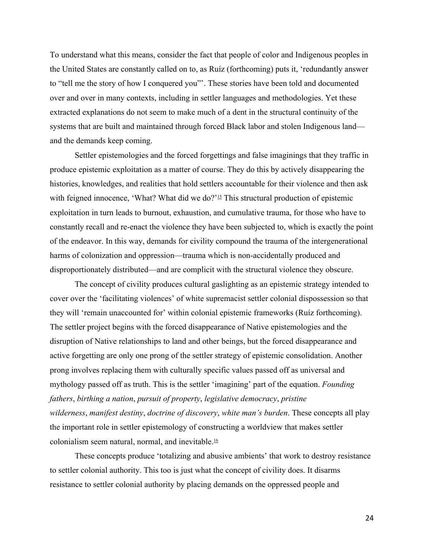To understand what this means, consider the fact that people of color and Indigenous peoples in the United States are constantly called on to, as Ruíz (forthcoming) puts it, 'redundantly answer to "tell me the story of how I conquered you"'. These stories have been told and documented over and over in many contexts, including in settler languages and methodologies. Yet these extracted explanations do not seem to make much of a dent in the structural continuity of the systems that are built and maintained through forced Black labor and stolen Indigenous land and the demands keep coming.

Settler epistemologies and the forced forgettings and false imaginings that they traffic in produce epistemic exploitation as a matter of course. They do this by actively disappearing the histories, knowledges, and realities that hold settlers accountable for their violence and then ask with feigned innocence, 'What? What did we do?'<sup>15</sup> This structural production of epistemic exploitation in turn leads to burnout, exhaustion, and cumulative trauma, for those who have to constantly recall and re-enact the violence they have been subjected to, which is exactly the point of the endeavor. In this way, demands for civility compound the trauma of the intergenerational harms of colonization and oppression—trauma which is non-accidentally produced and disproportionately distributed—and are complicit with the structural violence they obscure.

The concept of civility produces cultural gaslighting as an epistemic strategy intended to cover over the 'facilitating violences' of white supremacist settler colonial dispossession so that they will 'remain unaccounted for' within colonial epistemic frameworks (Ruíz forthcoming). The settler project begins with the forced disappearance of Native epistemologies and the disruption of Native relationships to land and other beings, but the forced disappearance and active forgetting are only one prong of the settler strategy of epistemic consolidation. Another prong involves replacing them with culturally specific values passed off as universal and mythology passed off as truth. This is the settler 'imagining' part of the equation. *Founding fathers*, *birthing a nation*, *pursuit of property*, *legislative democracy*, *pristine wilderness*, *manifest destiny*, *doctrine of discovery*, *white man's burden*. These concepts all play the important role in settler epistemology of constructing a worldview that makes settler colonialism seem natural, normal, and inevitable.16

These concepts produce 'totalizing and abusive ambients' that work to destroy resistance to settler colonial authority. This too is just what the concept of civility does. It disarms resistance to settler colonial authority by placing demands on the oppressed people and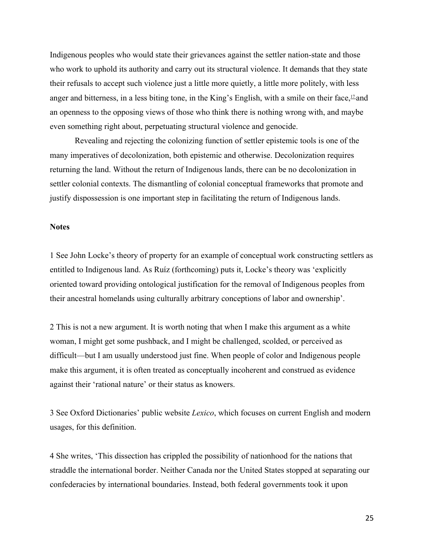Indigenous peoples who would state their grievances against the settler nation-state and those who work to uphold its authority and carry out its structural violence. It demands that they state their refusals to accept such violence just a little more quietly, a little more politely, with less anger and bitterness, in a less biting tone, in the King's English, with a smile on their face,  $\frac{17}{2}$  and an openness to the opposing views of those who think there is nothing wrong with, and maybe even something right about, perpetuating structural violence and genocide.

Revealing and rejecting the colonizing function of settler epistemic tools is one of the many imperatives of decolonization, both epistemic and otherwise. Decolonization requires returning the land. Without the return of Indigenous lands, there can be no decolonization in settler colonial contexts. The dismantling of colonial conceptual frameworks that promote and justify dispossession is one important step in facilitating the return of Indigenous lands.

#### **Notes**

1 See John Locke's theory of property for an example of conceptual work constructing settlers as entitled to Indigenous land. As Ruíz (forthcoming) puts it, Locke's theory was 'explicitly oriented toward providing ontological justification for the removal of Indigenous peoples from their ancestral homelands using culturally arbitrary conceptions of labor and ownership'.

2 This is not a new argument. It is worth noting that when I make this argument as a white woman, I might get some pushback, and I might be challenged, scolded, or perceived as difficult—but I am usually understood just fine. When people of color and Indigenous people make this argument, it is often treated as conceptually incoherent and construed as evidence against their 'rational nature' or their status as knowers.

3 See Oxford Dictionaries' public website *Lexico*, which focuses on current English and modern usages, for this definition.

4 She writes, 'This dissection has crippled the possibility of nationhood for the nations that straddle the international border. Neither Canada nor the United States stopped at separating our confederacies by international boundaries. Instead, both federal governments took it upon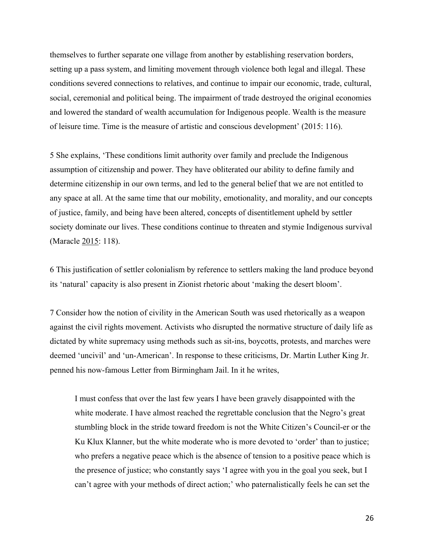themselves to further separate one village from another by establishing reservation borders, setting up a pass system, and limiting movement through violence both legal and illegal. These conditions severed connections to relatives, and continue to impair our economic, trade, cultural, social, ceremonial and political being. The impairment of trade destroyed the original economies and lowered the standard of wealth accumulation for Indigenous people. Wealth is the measure of leisure time. Time is the measure of artistic and conscious development' (2015: 116).

5 She explains, 'These conditions limit authority over family and preclude the Indigenous assumption of citizenship and power. They have obliterated our ability to define family and determine citizenship in our own terms, and led to the general belief that we are not entitled to any space at all. At the same time that our mobility, emotionality, and morality, and our concepts of justice, family, and being have been altered, concepts of disentitlement upheld by settler society dominate our lives. These conditions continue to threaten and stymie Indigenous survival (Maracle 2015: 118).

6 This justification of settler colonialism by reference to settlers making the land produce beyond its 'natural' capacity is also present in Zionist rhetoric about 'making the desert bloom'.

7 Consider how the notion of civility in the American South was used rhetorically as a weapon against the civil rights movement. Activists who disrupted the normative structure of daily life as dictated by white supremacy using methods such as sit-ins, boycotts, protests, and marches were deemed 'uncivil' and 'un-American'. In response to these criticisms, Dr. Martin Luther King Jr. penned his now-famous Letter from Birmingham Jail. In it he writes,

I must confess that over the last few years I have been gravely disappointed with the white moderate. I have almost reached the regrettable conclusion that the Negro's great stumbling block in the stride toward freedom is not the White Citizen's Council-er or the Ku Klux Klanner, but the white moderate who is more devoted to 'order' than to justice; who prefers a negative peace which is the absence of tension to a positive peace which is the presence of justice; who constantly says 'I agree with you in the goal you seek, but I can't agree with your methods of direct action;' who paternalistically feels he can set the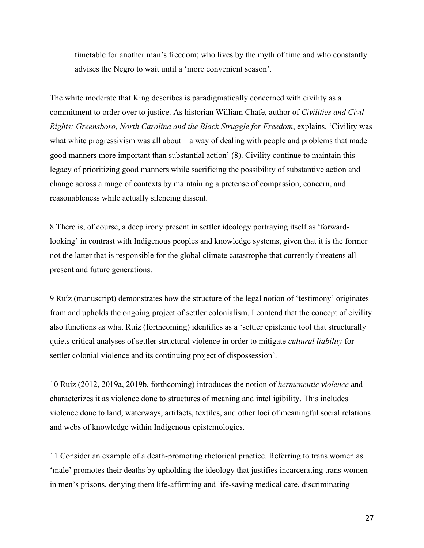timetable for another man's freedom; who lives by the myth of time and who constantly advises the Negro to wait until a 'more convenient season'.

The white moderate that King describes is paradigmatically concerned with civility as a commitment to order over to justice. As historian William Chafe, author of *Civilities and Civil Rights: Greensboro, North Carolina and the Black Struggle for Freedom*, explains, 'Civility was what white progressivism was all about—a way of dealing with people and problems that made good manners more important than substantial action' (8). Civility continue to maintain this legacy of prioritizing good manners while sacrificing the possibility of substantive action and change across a range of contexts by maintaining a pretense of compassion, concern, and reasonableness while actually silencing dissent.

8 There is, of course, a deep irony present in settler ideology portraying itself as 'forwardlooking' in contrast with Indigenous peoples and knowledge systems, given that it is the former not the latter that is responsible for the global climate catastrophe that currently threatens all present and future generations.

9 Ruíz (manuscript) demonstrates how the structure of the legal notion of 'testimony' originates from and upholds the ongoing project of settler colonialism. I contend that the concept of civility also functions as what Ruíz (forthcoming) identifies as a 'settler epistemic tool that structurally quiets critical analyses of settler structural violence in order to mitigate *cultural liability* for settler colonial violence and its continuing project of dispossession'.

10 Ruíz (2012, 2019a, 2019b, forthcoming) introduces the notion of *hermeneutic violence* and characterizes it as violence done to structures of meaning and intelligibility. This includes violence done to land, waterways, artifacts, textiles, and other loci of meaningful social relations and webs of knowledge within Indigenous epistemologies.

11 Consider an example of a death-promoting rhetorical practice. Referring to trans women as 'male' promotes their deaths by upholding the ideology that justifies incarcerating trans women in men's prisons, denying them life-affirming and life-saving medical care, discriminating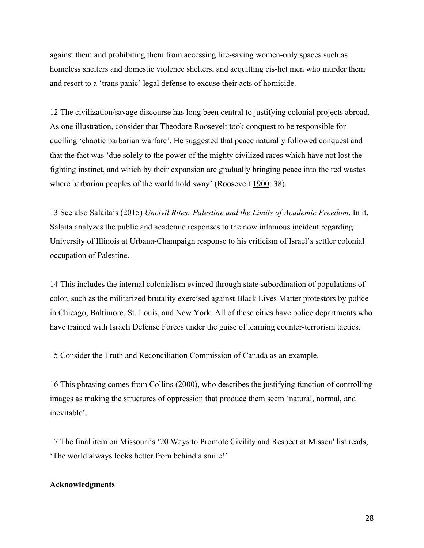against them and prohibiting them from accessing life-saving women-only spaces such as homeless shelters and domestic violence shelters, and acquitting cis-het men who murder them and resort to a 'trans panic' legal defense to excuse their acts of homicide.

12 The civilization/savage discourse has long been central to justifying colonial projects abroad. As one illustration, consider that Theodore Roosevelt took conquest to be responsible for quelling 'chaotic barbarian warfare'. He suggested that peace naturally followed conquest and that the fact was 'due solely to the power of the mighty civilized races which have not lost the fighting instinct, and which by their expansion are gradually bringing peace into the red wastes where barbarian peoples of the world hold sway' (Roosevelt 1900: 38).

13 See also Salaita's (2015) *Uncivil Rites: Palestine and the Limits of Academic Freedom*. In it, Salaita analyzes the public and academic responses to the now infamous incident regarding University of Illinois at Urbana-Champaign response to his criticism of Israel's settler colonial occupation of Palestine.

14 This includes the internal colonialism evinced through state subordination of populations of color, such as the militarized brutality exercised against Black Lives Matter protestors by police in Chicago, Baltimore, St. Louis, and New York. All of these cities have police departments who have trained with Israeli Defense Forces under the guise of learning counter-terrorism tactics.

15 Consider the Truth and Reconciliation Commission of Canada as an example.

16 This phrasing comes from Collins (2000), who describes the justifying function of controlling images as making the structures of oppression that produce them seem 'natural, normal, and inevitable'.

17 The final item on Missouri's '20 Ways to Promote Civility and Respect at Missou' list reads, 'The world always looks better from behind a smile!'

# **Acknowledgments**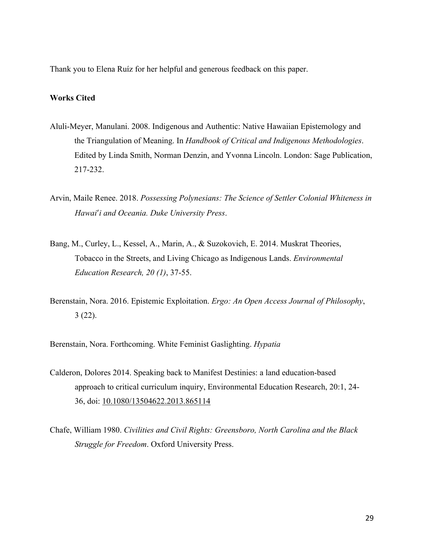Thank you to Elena Ruíz for her helpful and generous feedback on this paper.

# **Works Cited**

- Aluli-Meyer, Manulani. 2008. Indigenous and Authentic: Native Hawaiian Epistemology and the Triangulation of Meaning. In *Handbook of Critical and Indigenous Methodologies*. Edited by Linda Smith, Norman Denzin, and Yvonna Lincoln. London: Sage Publication, 217-232.
- Arvin, Maile Renee. 2018. *Possessing Polynesians: The Science of Settler Colonial Whiteness in Hawai*'*i and Oceania. Duke University Press*.
- Bang, M., Curley, L., Kessel, A., Marin, A., & Suzokovich, E. 2014. Muskrat Theories, Tobacco in the Streets, and Living Chicago as Indigenous Lands. *Environmental Education Research, 20 (1)*, 37-55.
- Berenstain, Nora. 2016. Epistemic Exploitation. *Ergo: An Open Access Journal of Philosophy*, 3 (22).

Berenstain, Nora. Forthcoming. White Feminist Gaslighting. *Hypatia*

- Calderon, Dolores 2014. Speaking back to Manifest Destinies: a land education-based approach to critical curriculum inquiry, Environmental Education Research, 20:1, 24- 36, doi: 10.1080/13504622.2013.865114
- Chafe, William 1980. *Civilities and Civil Rights: Greensboro, North Carolina and the Black Struggle for Freedom*. Oxford University Press.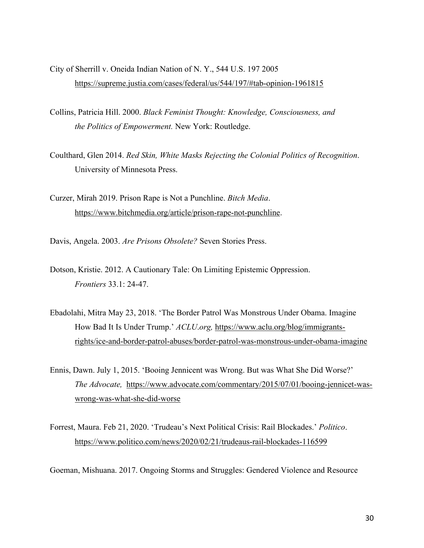- City of Sherrill v. Oneida Indian Nation of N. Y., 544 U.S. 197 2005 https://supreme.justia.com/cases/federal/us/544/197/#tab-opinion-1961815
- Collins, Patricia Hill. 2000. *Black Feminist Thought: Knowledge, Consciousness, and the Politics of Empowerment.* New York: Routledge.
- Coulthard, Glen 2014. *Red Skin, White Masks Rejecting the Colonial Politics of Recognition*. University of Minnesota Press.
- Curzer, Mirah 2019. Prison Rape is Not a Punchline. *Bitch Media*. https://www.bitchmedia.org/article/prison-rape-not-punchline.

Davis, Angela. 2003. *Are Prisons Obsolete?* Seven Stories Press.

- Dotson, Kristie. 2012. A Cautionary Tale: On Limiting Epistemic Oppression. *Frontiers* 33.1: 24-47.
- Ebadolahi, Mitra May 23, 2018. 'The Border Patrol Was Monstrous Under Obama. Imagine How Bad It Is Under Trump.' *ACLU*.*org,* https://www.aclu.org/blog/immigrantsrights/ice-and-border-patrol-abuses/border-patrol-was-monstrous-under-obama-imagine
- Ennis, Dawn. July 1, 2015. 'Booing Jennicent was Wrong. But was What She Did Worse?' *The Advocate,* https://www.advocate.com/commentary/2015/07/01/booing-jennicet-waswrong-was-what-she-did-worse

Forrest, Maura. Feb 21, 2020. 'Trudeau's Next Political Crisis: Rail Blockades.' *Politico*. https://www.politico.com/news/2020/02/21/trudeaus-rail-blockades-116599

Goeman, Mishuana. 2017. Ongoing Storms and Struggles: Gendered Violence and Resource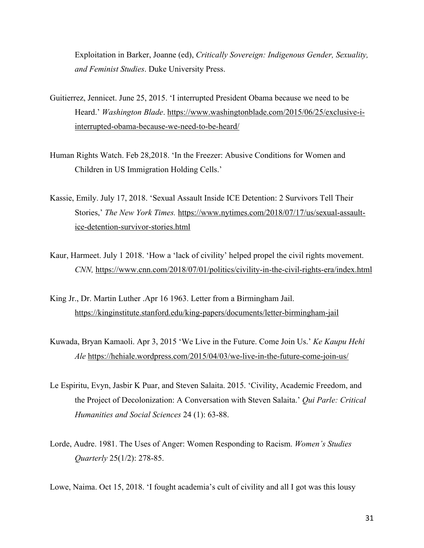Exploitation in Barker, Joanne (ed), *Critically Sovereign: Indigenous Gender, Sexuality, and Feminist Studies*. Duke University Press.

- Guitierrez, Jennicet. June 25, 2015. 'I interrupted President Obama because we need to be Heard.' *Washington Blade*. https://www.washingtonblade.com/2015/06/25/exclusive-iinterrupted-obama-because-we-need-to-be-heard/
- Human Rights Watch. Feb 28,2018. 'In the Freezer: Abusive Conditions for Women and Children in US Immigration Holding Cells.'
- Kassie, Emily. July 17, 2018. 'Sexual Assault Inside ICE Detention: 2 Survivors Tell Their Stories,' *The New York Times.* https://www.nytimes.com/2018/07/17/us/sexual-assaultice-detention-survivor-stories.html
- Kaur, Harmeet. July 1 2018. 'How a 'lack of civility' helped propel the civil rights movement. *CNN,* https://www.cnn.com/2018/07/01/politics/civility-in-the-civil-rights-era/index.html
- King Jr., Dr. Martin Luther .Apr 16 1963. Letter from a Birmingham Jail. https://kinginstitute.stanford.edu/king-papers/documents/letter-birmingham-jail
- Kuwada, Bryan Kamaoli. Apr 3, 2015 'We Live in the Future. Come Join Us.' *Ke Kaupu Hehi Ale* https://hehiale.wordpress.com/2015/04/03/we-live-in-the-future-come-join-us/
- Le Espiritu, Evyn, Jasbir K Puar, and Steven Salaita. 2015. 'Civility, Academic Freedom, and the Project of Decolonization: A Conversation with Steven Salaita.' *Qui Parle: Critical Humanities and Social Sciences* 24 (1): 63-88.
- Lorde, Audre. 1981. The Uses of Anger: Women Responding to Racism. *Women's Studies Quarterly* 25(1/2): 278-85.

Lowe, Naima. Oct 15, 2018. 'I fought academia's cult of civility and all I got was this lousy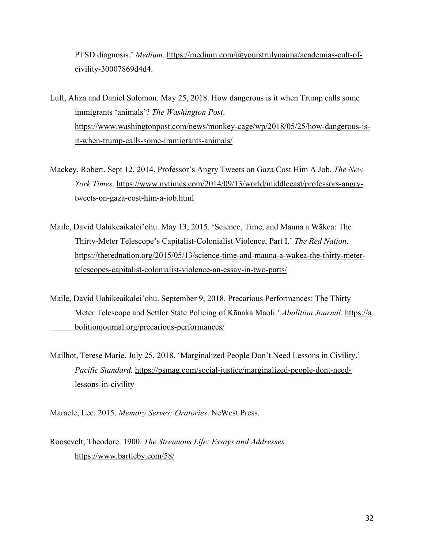PTSD diagnosis.' *Medium.* https://medium.com/@yourstrulynaima/academias-cult-ofcivility-30007869d4d4.

Luft, Aliza and Daniel Solomon. May 25, 2018. How dangerous is it when Trump calls some immigrants 'animals'? *The Washington Post*. https://www.washingtonpost.com/news/monkey-cage/wp/2018/05/25/how-dangerous-isit-when-trump-calls-some-immigrants-animals/

- Mackey, Robert. Sept 12, 2014. Professor's Angry Tweets on Gaza Cost Him A Job. *The New York Times*. https://www.nytimes.com/2014/09/13/world/middleeast/professors-angrytweets-on-gaza-cost-him-a-job.html
- Maile, David Uahikeaikalei'ohu. May 13, 2015. 'Science, Time, and Mauna a Wākea: The Thirty-Meter Telescope's Capitalist-Colonialist Violence, Part I.' *The Red Nation*. https://therednation.org/2015/05/13/science-time-and-mauna-a-wakea-the-thirty-metertelescopes-capitalist-colonialist-violence-an-essay-in-two-parts/
- Maile, David Uahikeaikalei'ohu. September 9, 2018. Precarious Performances: The Thirty Meter Telescope and Settler State Policing of Kānaka Maoli.' *Abolition Journal.* https://a bolitionjournal.org/precarious-performances/
- Mailhot, Terese Marie. July 25, 2018. 'Marginalized People Don't Need Lessons in Civility.' *Pacific Standard.* https://psmag.com/social-justice/marginalized-people-dont-needlessons-in-civility

Maracle, Lee. 2015. *Memory Serves: Oratories*. NeWest Press.

Roosevelt, Theodore. 1900. *The Strenuous Life: Essays and Addresses.*  https://www.bartleby.com/58/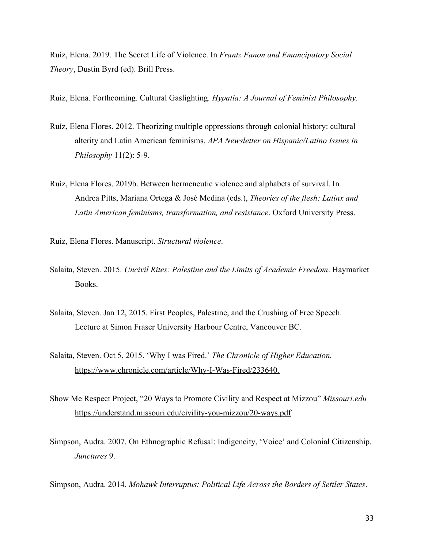Ruíz, Elena. 2019. The Secret Life of Violence. In *Frantz Fanon and Emancipatory Social Theory*, Dustin Byrd (ed). Brill Press.

Ruíz, Elena. Forthcoming. Cultural Gaslighting. *Hypatia: A Journal of Feminist Philosophy.*

- Ruíz, Elena Flores. 2012. Theorizing multiple oppressions through colonial history: cultural alterity and Latin American feminisms, *APA Newsletter on Hispanic/Latino Issues in Philosophy* 11(2): 5-9.
- Ruíz, Elena Flores. 2019b. Between hermeneutic violence and alphabets of survival. In Andrea Pitts, Mariana Ortega & José Medina (eds.), *Theories of the flesh: Latinx and Latin American feminisms, transformation, and resistance*. Oxford University Press.

Ruíz, Elena Flores. Manuscript. *Structural violence*.

- Salaita, Steven. 2015. *Uncivil Rites: Palestine and the Limits of Academic Freedom*. Haymarket Books.
- Salaita, Steven. Jan 12, 2015. First Peoples, Palestine, and the Crushing of Free Speech. Lecture at Simon Fraser University Harbour Centre, Vancouver BC.
- Salaita, Steven. Oct 5, 2015. 'Why I was Fired.' *The Chronicle of Higher Education.* https://www.chronicle.com/article/Why-I-Was-Fired/233640.
- Show Me Respect Project, "20 Ways to Promote Civility and Respect at Mizzou" *Missouri.edu*  https://understand.missouri.edu/civility-you-mizzou/20-ways.pdf
- Simpson, Audra. 2007. On Ethnographic Refusal: Indigeneity, 'Voice' and Colonial Citizenship. *Junctures* 9.

Simpson, Audra. 2014. *Mohawk Interruptus: Political Life Across the Borders of Settler States*.